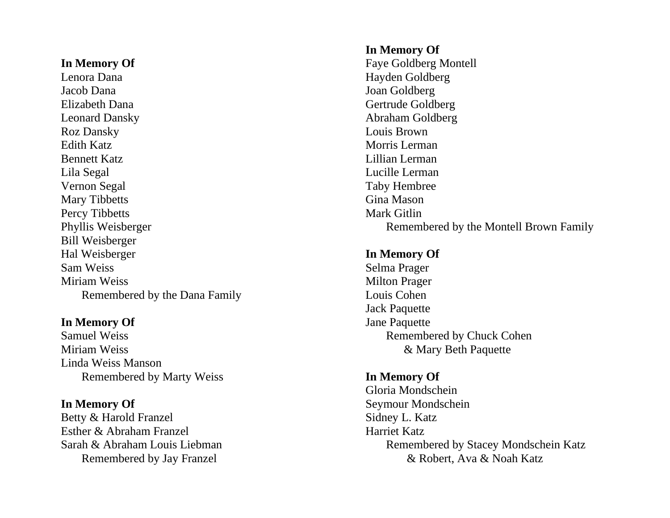Lenora Dana Hayden Goldberg Jacob Dana Joan Goldberg Elizabeth Dana Gertrude Goldberg Leonard Dansky Abraham Goldberg Roz Dansky Louis Brown Edith Katz Morris Lerman Bennett Katz **Lillian Lerman** Lila Segal Lucille Lerman Vernon Segal Taby Hembree Mary Tibbetts Gina Mason Percy Tibbetts Mark Gitlin Bill Weisberger Hal Weisberger **In Memory Of** Sam Weiss Selma Prager Milton Prager Remembered by the Dana Family **Louis Cohen** 

# **In Memory Of** Jane Paquette

Miriam Weiss & Mary Beth Paquette Linda Weiss Manson Remembered by Marty Weiss **In Memory Of**

Betty & Harold Franzel Sidney L. Katz Esther & Abraham Franzel Harriet Katz

# **In Memory Of**

**In Memory Of** Faye Goldberg Montell Phyllis Weisberger Remembered by the Montell Brown Family

Jack Paquette Samuel Weiss Remembered by Chuck Cohen

Gloria Mondschein **In Memory Of** Seymour Mondschein Sarah & Abraham Louis Liebman **Remembered by Stacey Mondschein Katz** Remembered by Jay Franzel **Exercise 2** & Robert, Ava & Noah Katz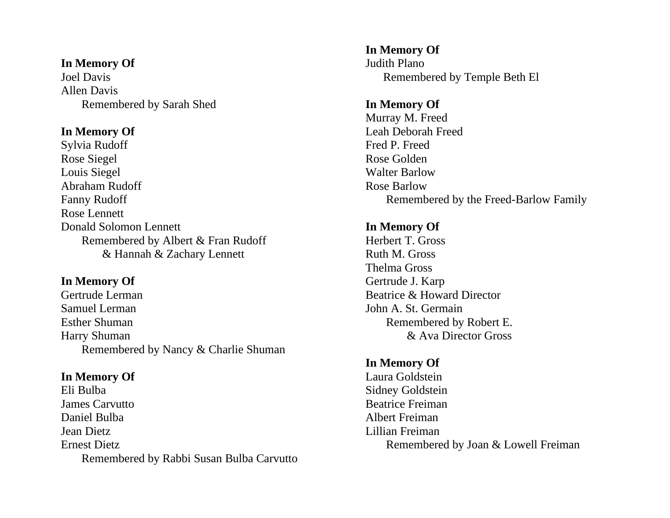# **In Memory Of** Judith Plano

Allen Davis Remembered by Sarah Shed **In Memory Of**

Sylvia Rudoff Freed P. Freed P. Freed P. Freed Rose Siegel Rose Golden Louis Siegel Walter Barlow Abraham Rudoff Rose Barlow Rose Lennett **Donald Solomon Lennett In Memory Of** Remembered by Albert & Fran Rudoff Herbert T. Gross & Hannah & Zachary Lennett Ruth M. Gross

Gertrude Lerman Beatrice & Howard Director Samuel Lerman John A. St. Germain Esther Shuman Remembered by Robert E. Harry Shuman & Ava Director Gross Remembered by Nancy & Charlie Shuman

Eli Bulba Sidney Goldstein **James Carvutto Beatrice Freiman** Daniel Bulba **Albert Freiman** Jean Dietz Lillian Freiman Ernest Dietz **Remembered by Joan & Lowell Freiman** Remembered by Rabbi Susan Bulba Carvutto

**In Memory Of** Joel Davis Remembered by Temple Beth El

# Murray M. Freed **In Memory Of** Leah Deborah Freed Fanny Rudoff **Remembered** by the Freed-Barlow Family

Thelma Gross **In Memory Of** Gertrude J. Karp

# **In Memory Of**

**In Memory Of** Laura Goldstein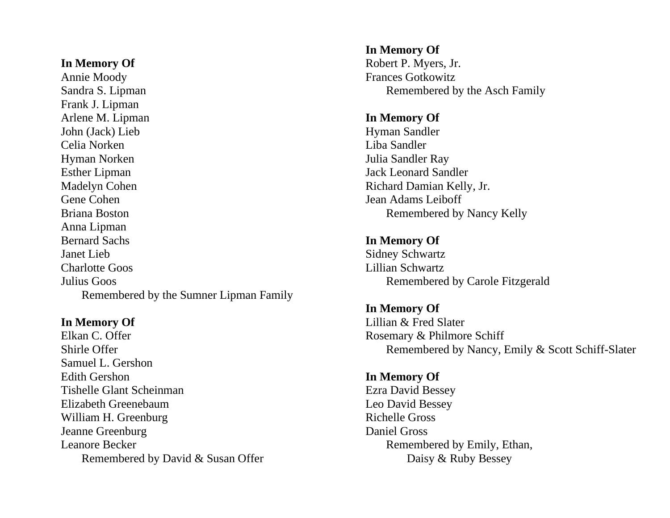Annie Moody Frances Gotkowitz Sandra S. Lipman Remembered by the Asch Family Frank J. Lipman Arlene M. Lipman **In Memory Of** John (Jack) Lieb Hyman Sandler Celia Norken Liba Sandler Hyman Norken Julia Sandler Ray Esther Lipman Jack Leonard Sandler Madelyn Cohen Richard Damian Kelly, Jr. Gene Cohen Jean Adams Leiboff Briana Boston Remembered by Nancy Kelly Anna Lipman Bernard Sachs **In Memory Of** Janet Lieb Sidney Schwartz Charlotte Goos Lillian Schwartz Julius Goos Remembered by Carole Fitzgerald Remembered by the Sumner Lipman Family

Elkan C. Offer Rosemary & Philmore Schiff Samuel L. Gershon Edith Gershon **In Memory Of** Tishelle Glant Scheinman Ezra David Bessey Elizabeth Greenebaum Leo David Bessey William H. Greenburg Richelle Gross Jeanne Greenburg Daniel Gross Leanore Becker Remembered by Emily, Ethan, Remembered by David & Susan Offer Daisy & Ruby Bessey

**In Memory Of In Memory Of** Robert P. Myers, Jr.

**In Memory Of In Memory Of** Lillian & Fred Slater Shirle Offer Remembered by Nancy, Emily & Scott Schiff-Slater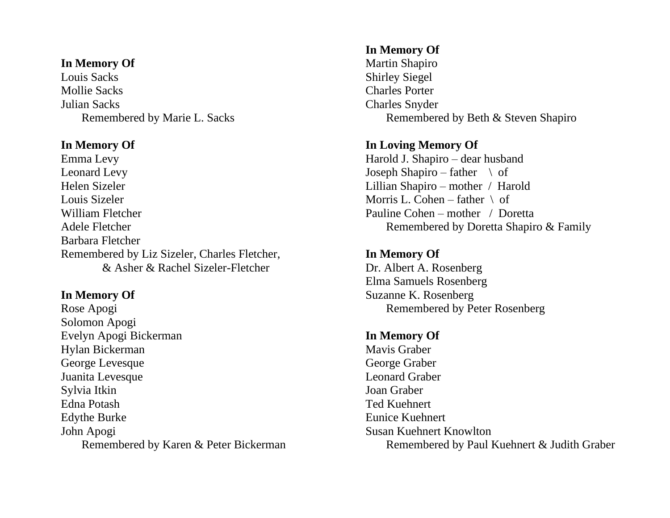## **In Memory Of** Martin Shapiro

Louis Sacks Shirley Siegel Mollie Sacks Charles Porter Julian Sacks Charles Snyder

Emma Levy Harold J. Shapiro – dear husband Leonard Levy Joseph Shapiro – father  $\setminus$  of Helen Sizeler Lillian Shapiro – mother / Harold Louis Sizeler Morris L. Cohen – father \ of William Fletcher **Pauline Cohen** – mother / Doretta Barbara Fletcher Remembered by Liz Sizeler, Charles Fletcher, **In Memory Of** & Asher & Rachel Sizeler-Fletcher Dr. Albert A. Rosenberg

Rose Apogi Remembered by Peter Rosenberg Solomon Apogi Evelyn Apogi Bickerman **In Memory Of** Hylan Bickerman Mavis Graber George Levesque George Graber Juanita Levesque Leonard Graber Sylvia Itkin Joan Graber Edna Potash Ted Kuehnert Edythe Burke Eunice Kuehnert John Apogi Susan Kuehnert Knowlton

# **In Memory Of**

Remembered by Marie L. Sacks Remembered by Beth & Steven Shapiro

# **In Memory Of In Loving Memory Of**

Adele Fletcher Remembered by Doretta Shapiro & Family

Elma Samuels Rosenberg **In Memory Of** Suzanne K. Rosenberg

Remembered by Karen & Peter Bickerman Remembered by Paul Kuehnert & Judith Graber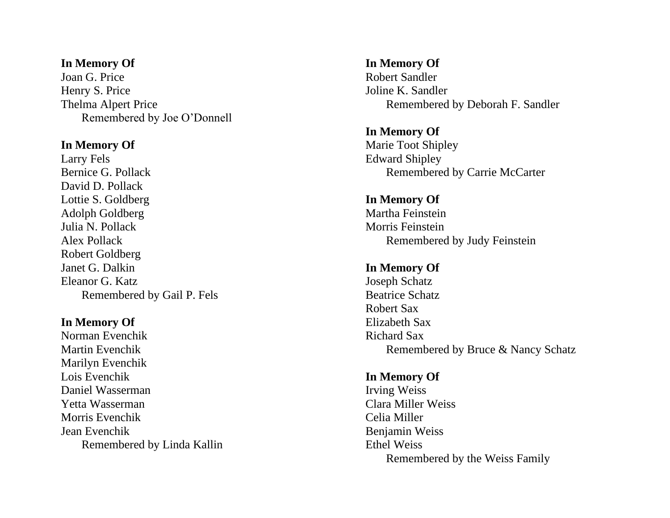### **In Memory Of In Memory Of**

Joan G. Price Robert Sandler Henry S. Price Joline K. Sandler Remembered by Joe O'Donnell

Larry Fels Edward Shipley David D. Pollack Lottie S. Goldberg **In Memory Of** Adolph Goldberg Martha Feinstein Julia N. Pollack Morris Feinstein Robert Goldberg **In Memory Of In Memory Of** Eleanor G. Katz Joseph Schatz Remembered by Gail P. Fels Beatrice Schatz

# **In Memory Of** Elizabeth Sax

Norman Evenchik Richard Sax Marilyn Evenchik Lois Evenchik **In Memory Of** Daniel Wasserman Irving Weiss Yetta Wasserman Clara Miller Weiss Morris Evenchik Celia Miller Jean Evenchik Benjamin Weiss Remembered by Linda Kallin Ethel Weiss

Thelma Alpert Price Remembered by Deborah F. Sandler

**In Memory Of In Memory Of** Marie Toot Shipley Bernice G. Pollack Remembered by Carrie McCarter

Alex Pollack **Remembered by Judy Feinstein** 

Robert Sax Martin Evenchik Remembered by Bruce & Nancy Schatz

Remembered by the Weiss Family